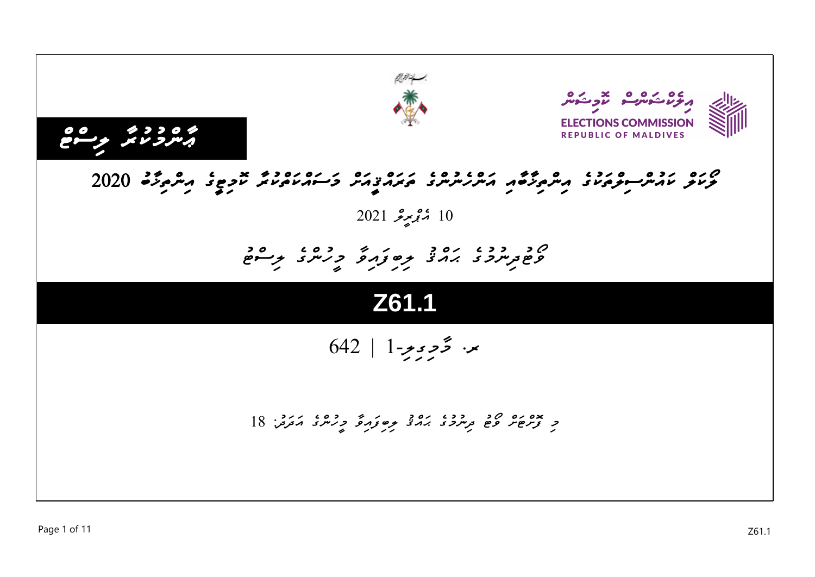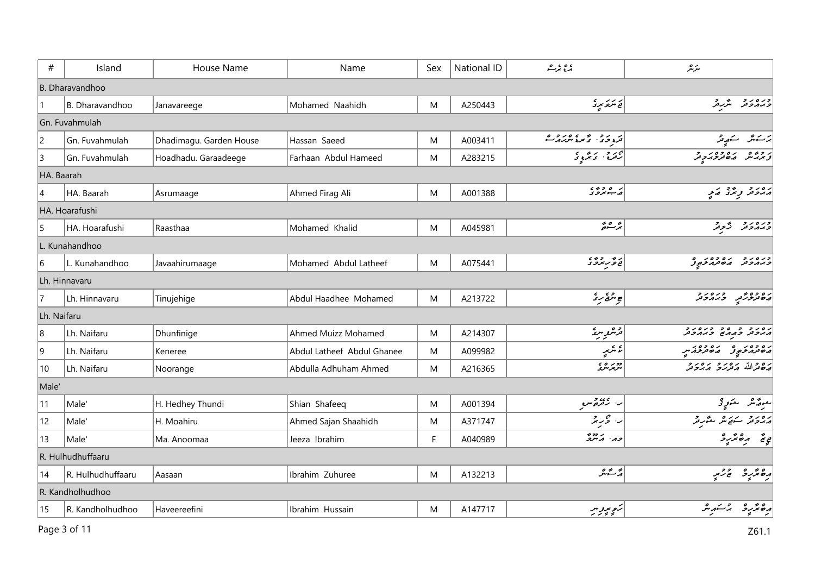| #              | Island            | House Name              | Name                       | Sex       | National ID | ، ه ، ره<br>د ، برگ                          | ىئرىتر                                                                                                                                                                                                                          |
|----------------|-------------------|-------------------------|----------------------------|-----------|-------------|----------------------------------------------|---------------------------------------------------------------------------------------------------------------------------------------------------------------------------------------------------------------------------------|
|                | B. Dharavandhoo   |                         |                            |           |             |                                              |                                                                                                                                                                                                                                 |
|                | B. Dharavandhoo   | Janavareege             | Mohamed Naahidh            | M         | A250443     | <br>  في متركّد مبرد ك                       | ورەر د شری                                                                                                                                                                                                                      |
|                | Gn. Fuvahmulah    |                         |                            |           |             |                                              |                                                                                                                                                                                                                                 |
| 2              | Gn. Fuvahmulah    | Dhadimagu. Garden House | Hassan Saeed               | M         | A003411     | در د د په په ورو ه<br>  فروخ که کامرو مرکز ک | ىز سەھر سەمبەتر<br> -                                                                                                                                                                                                           |
| 3              | Gn. Fuvahmulah    | Hoadhadu. Garaadeege    | Farhaan Abdul Hameed       | M         | A283215     | ج ر ح مر ح مر ح م<br>  رسم ج المر ح مر ح ك   | ر دوم ره دور د                                                                                                                                                                                                                  |
| HA. Baarah     |                   |                         |                            |           |             |                                              |                                                                                                                                                                                                                                 |
| $\overline{A}$ | HA. Baarah        | Asrumaage               | Ahmed Firag Ali            | M         | A001388     | ر ۵ ۶ ۶ ۶<br>در سومرو د                      | رەرە پەنتى مەي                                                                                                                                                                                                                  |
|                | HA. Hoarafushi    |                         |                            |           |             |                                              |                                                                                                                                                                                                                                 |
| 5              | HA. Hoarafushi    | Raasthaa                | Mohamed Khalid             | M         | A045981     | پۇ ھەم<br>ئىرىسىدى                           | ورەرو ۋوتر                                                                                                                                                                                                                      |
|                | L. Kunahandhoo    |                         |                            |           |             |                                              |                                                                                                                                                                                                                                 |
| 6              | L. Kunahandhoo    | Javaahirumaage          | Mohamed Abdul Latheef      | ${\sf M}$ | A075441     | پر څر څر څر <sup>ي</sup>                     | وره رو ده ده ده و<br>د بر بر د مان بر محمد در و                                                                                                                                                                                 |
|                | Lh. Hinnavaru     |                         |                            |           |             |                                              |                                                                                                                                                                                                                                 |
| 17             | Lh. Hinnavaru     | Tinujehige              | Abdul Haadhee Mohamed      | M         | A213722     | ھ شرقے س <sup>ی</sup>                        | ره وه به دره د و<br>په فرورتر و بر دور                                                                                                                                                                                          |
| Lh. Naifaru    |                   |                         |                            |           |             |                                              |                                                                                                                                                                                                                                 |
| 8              | Lh. Naifaru       | Dhunfinige              | <b>Ahmed Muizz Mohamed</b> | M         | A214307     | لخرىثرو سرنجه                                | נסנכ כ סכ כנסנכ<br>גגבת כתבש כגגבת                                                                                                                                                                                              |
| 9              | Lh. Naifaru       | Keneree                 | Abdul Latheef Abdul Ghanee | M         | A099982     | لأمثر بير                                    | גם כסגף פי גם כסגבות יית                                                                                                                                                                                                        |
| $ 10\rangle$   | Lh. Naifaru       | Noorange                | Abdulla Adhuham Ahmed      | M         | A216365     | دد بر ۵ بر<br>سرپرسری                        | مَصْعَرِ اللَّهُ مَعْرَبَ 3 مَصْرَفَ                                                                                                                                                                                            |
| Male'          |                   |                         |                            |           |             |                                              |                                                                                                                                                                                                                                 |
| 11             | Male'             | H. Hedhey Thundi        | Shian Shafeeq              | M         | A001394     | ر سمبر دید.<br>ر زنده سو                     | خېرمگر خکولتي                                                                                                                                                                                                                   |
| 12             | Male'             | H. Moahiru              | Ahmed Sajan Shaahidh       | M         | A371747     | ابن وگرېز                                    | ره در در کار کار در در در در در این در در در این در در در این در در این در در این در در این در دار در این در ا<br>در این در این در این در در این در دار در این در دار در این در این در این در این در این در این در این در این د |
| 13             | Male'             | Ma. Anoomaa             | Jeeza Ibrahim              | F         | A040989     | בוגי וגיובי                                  |                                                                                                                                                                                                                                 |
|                | R. Hulhudhuffaaru |                         |                            |           |             |                                              |                                                                                                                                                                                                                                 |
| 14             | R. Hulhudhuffaaru | Aasaan                  | Ibrahim Zuhuree            | M         | A132213     | ۇ شەمىر                                      | رەپرىر بورىر                                                                                                                                                                                                                    |
|                | R. Kandholhudhoo  |                         |                            |           |             |                                              |                                                                                                                                                                                                                                 |
| 15             | R. Kandholhudhoo  | Haveereefini            | Ibrahim Hussain            | M         | A147717     | ژه مرو سر<br>نیمونر بر                       | مەھكرى ئىسكىر                                                                                                                                                                                                                   |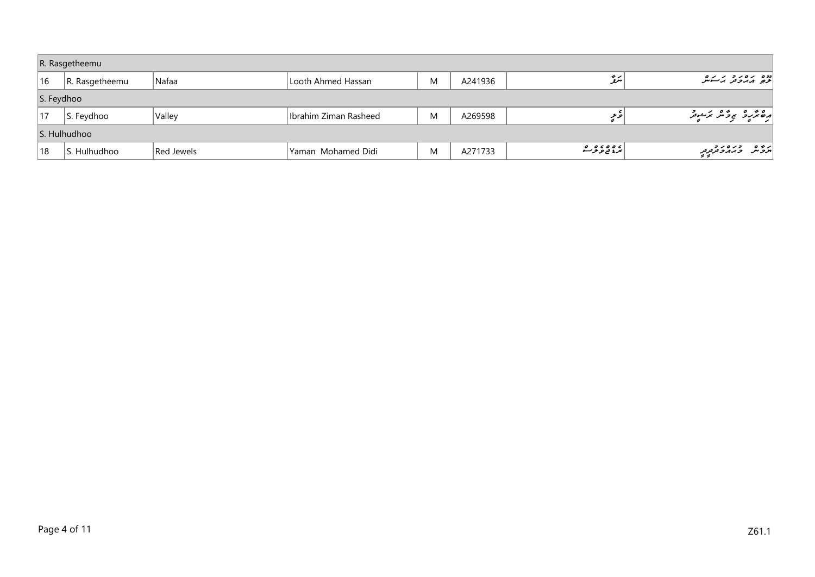|            | R. Rasgetheemu |            |                        |   |         |                                  |                     |
|------------|----------------|------------|------------------------|---|---------|----------------------------------|---------------------|
| 16         | R. Rasgetheemu | Nafaa      | Looth Ahmed Hassan     | M | A241936 | سَمَدٌ                           | ده ره رو ری         |
| S. Feydhoo |                |            |                        |   |         |                                  |                     |
| 17         | S. Feydhoo     | Valley     | Ilbrahim Ziman Rasheed | M | A269598 |                                  | أرەتمەر ئوچى ترىنون |
|            | S. Hulhudhoo   |            |                        |   |         |                                  |                     |
| 18         | S. Hulhudhoo   | Red Jewels | Yaman Mohamed Didi     | M | A271733 | ۱۰ ۵ ۵ ۵ و ه<br>  بر ٤ قع قرم شر | أتروش وبرود ويربر   |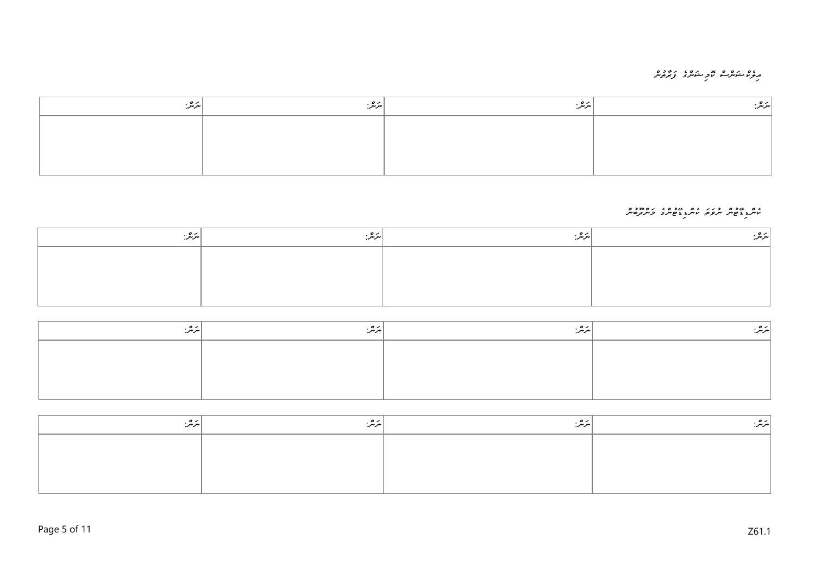## *w7qAn8m?sCw7mRo>u;wEw7mRw;sBo<*

| ' مرمر | 'يئرىثر: |
|--------|----------|
|        |          |
|        |          |
|        |          |

## *w7q9r@w7m>sCw7qHtFoFw7s;mAm=q7w7qHtFoFw7s;*

| ىر تە | $\mathcal{O} \times$<br>$\sim$ | $\sim$<br>. . | لترنثر |
|-------|--------------------------------|---------------|--------|
|       |                                |               |        |
|       |                                |               |        |
|       |                                |               |        |

| انترنثر: | $^{\circ}$ | يبرهر | $^{\circ}$<br>سرسر |
|----------|------------|-------|--------------------|
|          |            |       |                    |
|          |            |       |                    |
|          |            |       |                    |

| ' ئىرتىر: | سر سر |  |
|-----------|-------|--|
|           |       |  |
|           |       |  |
|           |       |  |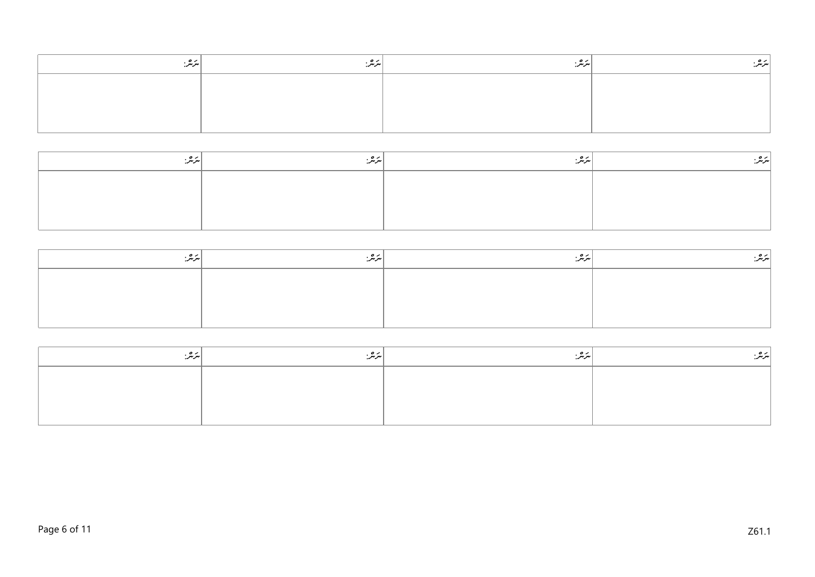| يره. | ο. | ا ير ه |  |
|------|----|--------|--|
|      |    |        |  |
|      |    |        |  |
|      |    |        |  |

| متريثر به | 。<br>'سرسر'۔ | يتزيترا | سرسر |
|-----------|--------------|---------|------|
|           |              |         |      |
|           |              |         |      |
|           |              |         |      |

| ىئرىتر. | $\sim$ | ا بر هه. | لىرىش |
|---------|--------|----------|-------|
|         |        |          |       |
|         |        |          |       |
|         |        |          |       |

| 。<br>مرس. | $\overline{\phantom{a}}$<br>مر مىر | ىرىر |
|-----------|------------------------------------|------|
|           |                                    |      |
|           |                                    |      |
|           |                                    |      |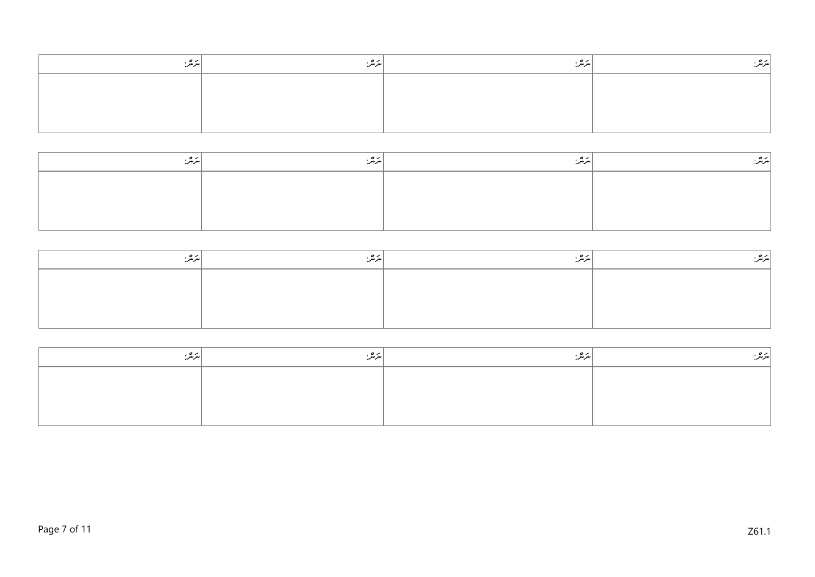| ير هو . | $\overline{\phantom{a}}$ | يرمر | اير هنه. |
|---------|--------------------------|------|----------|
|         |                          |      |          |
|         |                          |      |          |
|         |                          |      |          |

| ىبرىر. | $\sim$<br>ا سرسر . | يئرمثر | o . |
|--------|--------------------|--------|-----|
|        |                    |        |     |
|        |                    |        |     |
|        |                    |        |     |

| 'تترنثر: | 。<br>,,,, |  |
|----------|-----------|--|
|          |           |  |
|          |           |  |
|          |           |  |

|  | . ه |
|--|-----|
|  |     |
|  |     |
|  |     |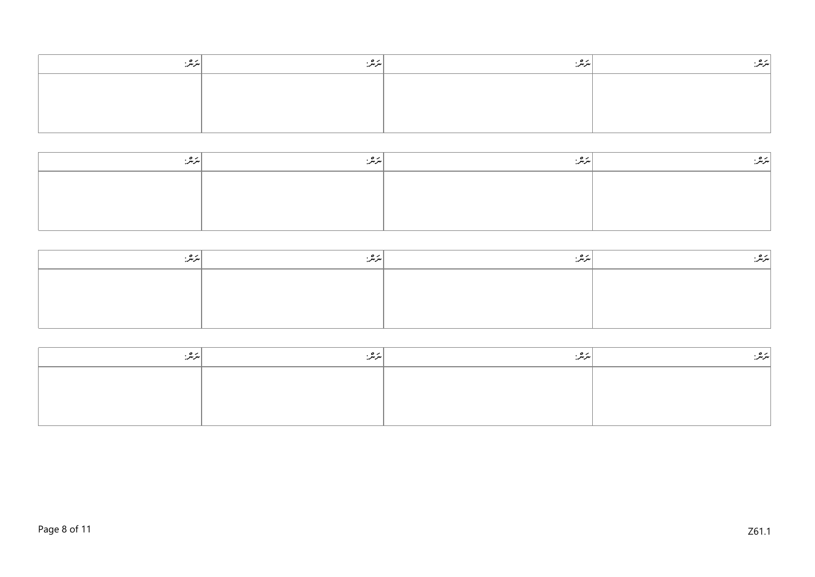| ير هو . | $\overline{\phantom{a}}$ | يرمر | اير هنه. |
|---------|--------------------------|------|----------|
|         |                          |      |          |
|         |                          |      |          |
|         |                          |      |          |

| ىبرىر. | $\sim$<br>ا سرسر . | يئرمثر | o . |
|--------|--------------------|--------|-----|
|        |                    |        |     |
|        |                    |        |     |
|        |                    |        |     |

| انترنثر: | ر ه |  |
|----------|-----|--|
|          |     |  |
|          |     |  |
|          |     |  |

|  | . ه |
|--|-----|
|  |     |
|  |     |
|  |     |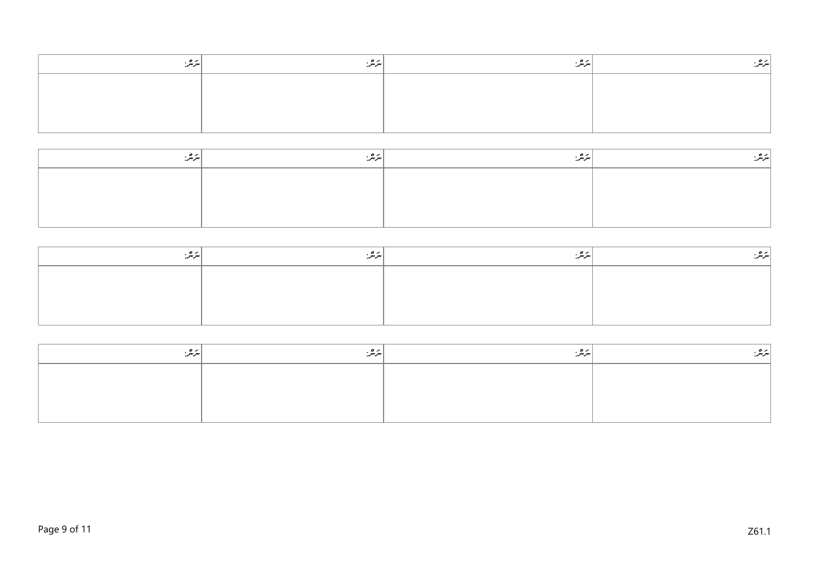| $\cdot$ | 。 | $\frac{\circ}{\cdot}$ | $\sim$<br>سرسر |
|---------|---|-----------------------|----------------|
|         |   |                       |                |
|         |   |                       |                |
|         |   |                       |                |

| يريثن | ' سرسر . |  |
|-------|----------|--|
|       |          |  |
|       |          |  |
|       |          |  |

| بر ه | 。 | $\sim$<br>َ سومس. |  |
|------|---|-------------------|--|
|      |   |                   |  |
|      |   |                   |  |
|      |   |                   |  |

| 。<br>. س | ىرىىر |  |
|----------|-------|--|
|          |       |  |
|          |       |  |
|          |       |  |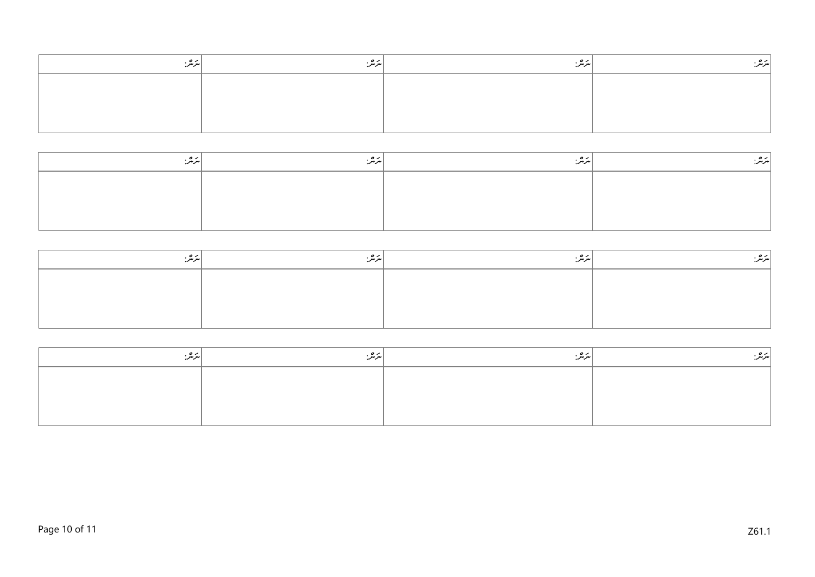| ير هو . | $\overline{\phantom{a}}$ | يرمر | اير هنه. |
|---------|--------------------------|------|----------|
|         |                          |      |          |
|         |                          |      |          |
|         |                          |      |          |

| ىبرىر. | $\sim$<br>ا سرسر . | يئرمثر | o . |
|--------|--------------------|--------|-----|
|        |                    |        |     |
|        |                    |        |     |
|        |                    |        |     |

| 'تترنثر: | . .<br>يسمونس. |  |
|----------|----------------|--|
|          |                |  |
|          |                |  |
|          |                |  |

|  | . ه |
|--|-----|
|  |     |
|  |     |
|  |     |